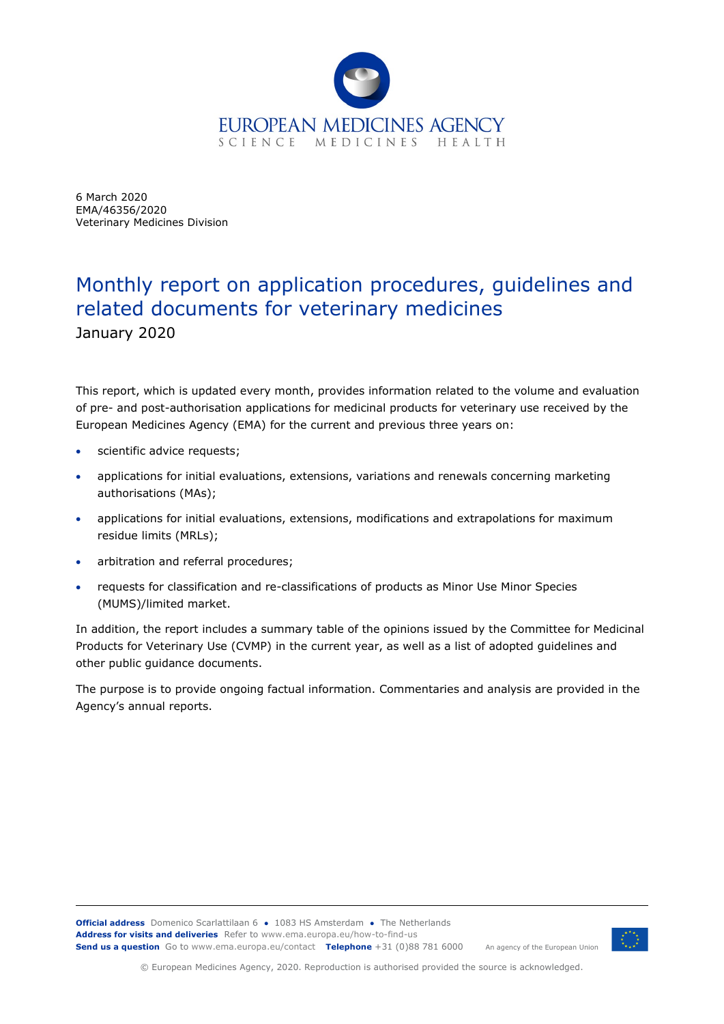

6 March 2020 EMA/46356/2020 Veterinary Medicines Division

# Monthly report on application procedures, guidelines and related documents for veterinary medicines January 2020

This report, which is updated every month, provides information related to the volume and evaluation of pre- and post-authorisation applications for medicinal products for veterinary use received by the European Medicines Agency (EMA) for the current and previous three years on:

- scientific advice requests;
- applications for initial evaluations, extensions, variations and renewals concerning marketing authorisations (MAs);
- applications for initial evaluations, extensions, modifications and extrapolations for maximum residue limits (MRLs);
- arbitration and referral procedures;
- requests for classification and re-classifications of products as Minor Use Minor Species (MUMS)/limited market.

In addition, the report includes a summary table of the opinions issued by the Committee for Medicinal Products for Veterinary Use (CVMP) in the current year, as well as a list of adopted guidelines and other public guidance documents.

The purpose is to provide ongoing factual information. Commentaries and analysis are provided in the Agency's annual reports.



© European Medicines Agency, 2020. Reproduction is authorised provided the source is acknowledged.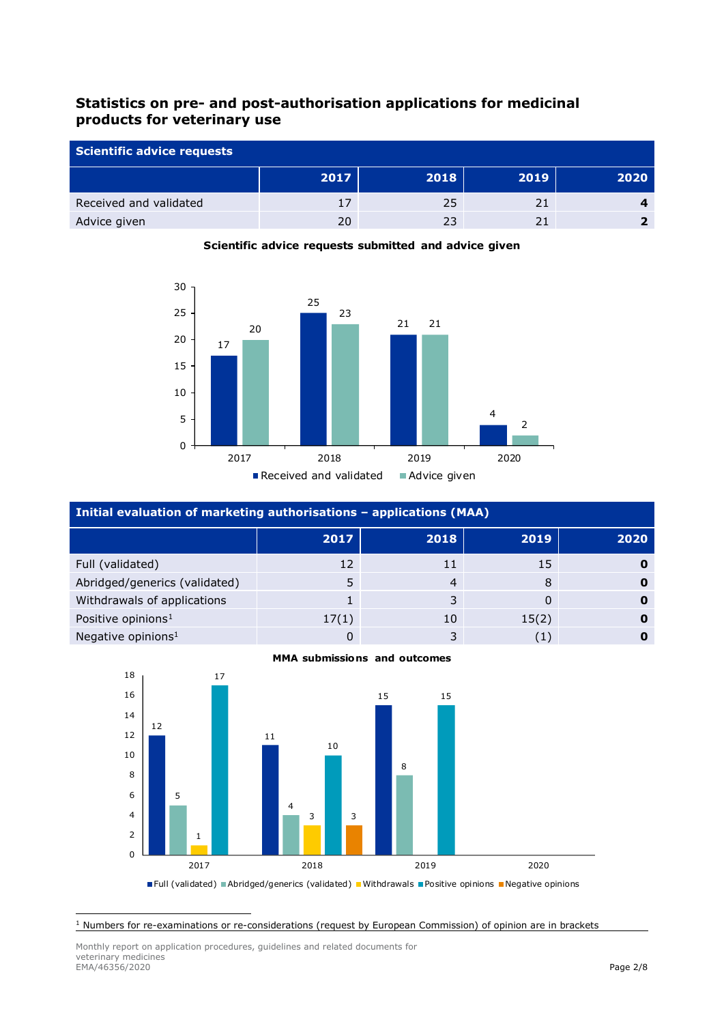# **Statistics on pre- and post-authorisation applications for medicinal products for veterinary use**

| Scientific advice requests |      |      |      |      |
|----------------------------|------|------|------|------|
|                            | 2017 | 2018 | 2019 | 2020 |
| Received and validated     |      | 25   | 21   |      |
| Advice given               | 20   | 23   |      |      |



## **Scientific advice requests submitted and advice given**

| Initial evaluation of marketing authorisations - applications (MAA) |       |      |       |      |
|---------------------------------------------------------------------|-------|------|-------|------|
|                                                                     | 2017  | 2018 | 2019  | 2020 |
| Full (validated)                                                    | 12    | 11   | 15    |      |
| Abridged/generics (validated)                                       |       | 4    | 8     |      |
| Withdrawals of applications                                         |       |      | 0     |      |
| Positive opinions <sup>1</sup>                                      | 17(1) | 10   | 15(2) |      |
| Negative opinions <sup>1</sup>                                      |       | 3    | (1)   |      |



#### **MMA submissions and outcomes**

<span id="page-1-0"></span>Numbers for re-examinations or re-considerations (request by European Commission) of opinion are in brackets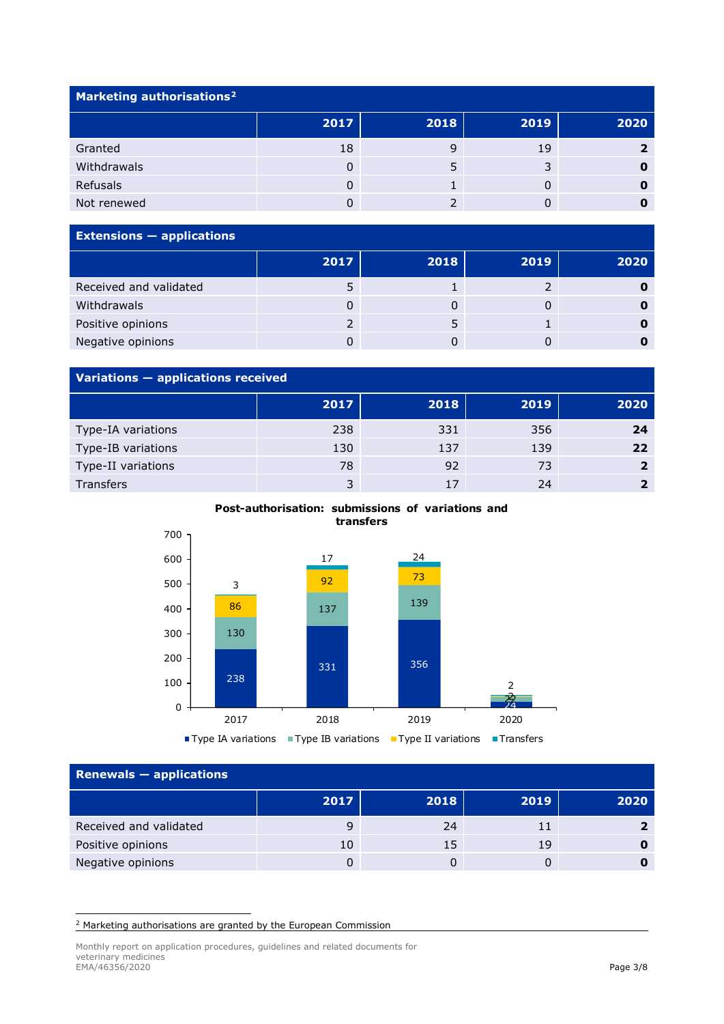| Marketing authorisations <sup>2</sup> |      |      |      |      |
|---------------------------------------|------|------|------|------|
|                                       | 2017 | 2018 | 2019 | 2020 |
| Granted                               | 18   |      | 19   |      |
| Withdrawals                           | 0    |      | C    |      |
| Refusals                              | 0    |      |      |      |
| Not renewed                           |      |      |      |      |

| <b>Extensions - applications</b> |      |      |      |      |
|----------------------------------|------|------|------|------|
|                                  | 2017 | 2018 | 2019 | 2020 |
| Received and validated           |      |      |      |      |
| Withdrawals                      |      |      |      |      |
| Positive opinions                |      |      |      |      |
| Negative opinions                |      |      |      |      |

# **Variations — applications received**

| .                  |      |      |      |              |
|--------------------|------|------|------|--------------|
|                    | 2017 | 2018 | 2019 | 2020         |
| Type-IA variations | 238  | 331  | 356  | 24           |
| Type-IB variations | 130  | 137  | 139  | 22           |
| Type-II variations | 78   | 92   | 73   | $\mathbf{L}$ |
| Transfers          | 3    | 17   | 24   |              |

#### **Post-authorisation: submissions of variations and transfers**



### **Renewals — applications**

| $K$ applications $\sim$ applications |      |      |      |      |  |
|--------------------------------------|------|------|------|------|--|
|                                      | 2017 | 2018 | 2019 | 2020 |  |
| Received and validated               |      | 24   |      |      |  |
| Positive opinions                    | 10   | 15   | 19   |      |  |
| Negative opinions                    |      |      |      |      |  |

<span id="page-2-0"></span><sup>2</sup> Marketing authorisations are granted by the European Commission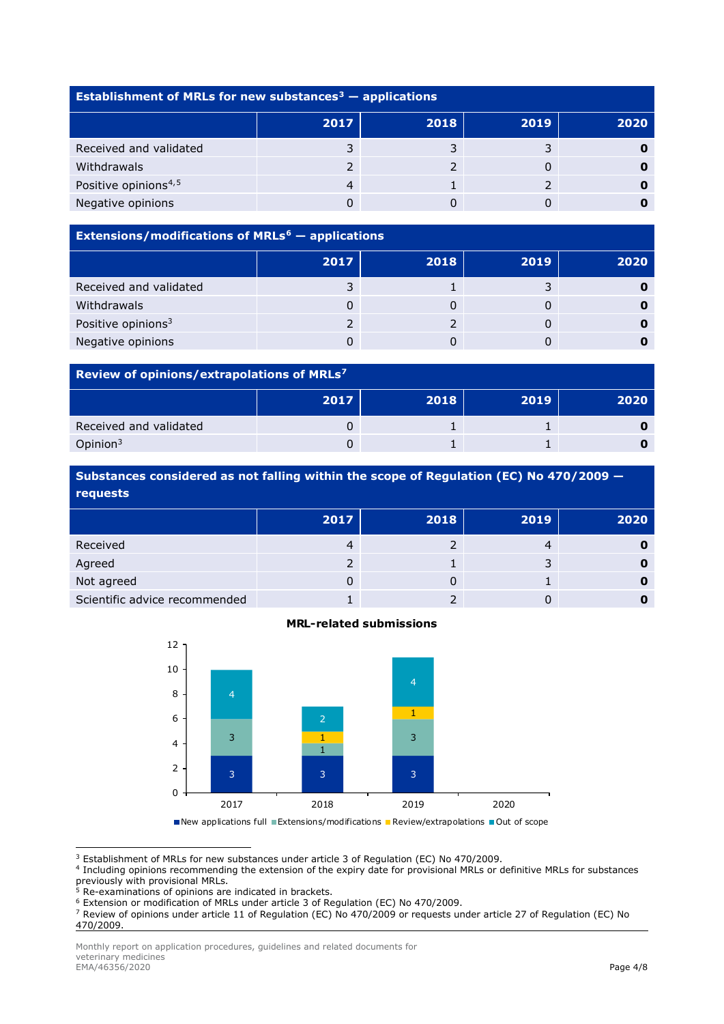| Establishment of MRLs for new substances <sup>3</sup> $-$ applications |      |      |      |      |
|------------------------------------------------------------------------|------|------|------|------|
|                                                                        | 2017 | 2018 | 2019 | 2020 |
| Received and validated                                                 |      |      |      |      |
| Withdrawals                                                            |      |      |      |      |
| Positive opinions <sup>4,5</sup>                                       | 4    |      |      |      |
| Negative opinions                                                      |      |      |      |      |

# **Extensions/modifications of MRLs[6](#page-3-3) — applications 2017 2018 2019 2020** Received and validated **3** 1 3 **0** Withdrawals 0 0 0 **0** Positive opinions3 2 2 0 **0** Negative opinions 0 0 0 **0**

#### **Review of opinions/extrapolations of MRLs[7](#page-3-4)**

|                        | 2017 | 2018 | 2019 | 2020 |
|------------------------|------|------|------|------|
| Received and validated |      |      |      |      |
| Opinion $3$            |      |      |      |      |

**Substances considered as not falling within the scope of Regulation (EC) No 470/2009 requests**

|                               | 2017 | 2018 | 2019 | 2020 |
|-------------------------------|------|------|------|------|
| Received                      |      |      |      |      |
| Agreed                        |      |      |      |      |
| Not agreed                    |      |      |      |      |
| Scientific advice recommended |      |      |      |      |



#### **MRL-related submissions**

■New applications full ■Extensions/modifications ■Review/extrapolations ■Out of scope

<span id="page-3-0"></span><sup>3</sup> Establishment of MRLs for new substances under article 3 of Regulation (EC) No 470/2009.

<span id="page-3-1"></span><sup>4</sup> Including opinions recommending the extension of the expiry date for provisional MRLs or definitive MRLs for substances previously with provisional MRLs.

<sup>5</sup> Re-examinations of opinions are indicated in brackets.

<span id="page-3-4"></span><span id="page-3-3"></span><sup>7</sup> Review of opinions under article 11 of Regulation (EC) No 470/2009 or requests under article 27 of Regulation (EC) No 470/2009.

<span id="page-3-2"></span><sup>6</sup> Extension or modification of MRLs under article 3 of Regulation (EC) No 470/2009.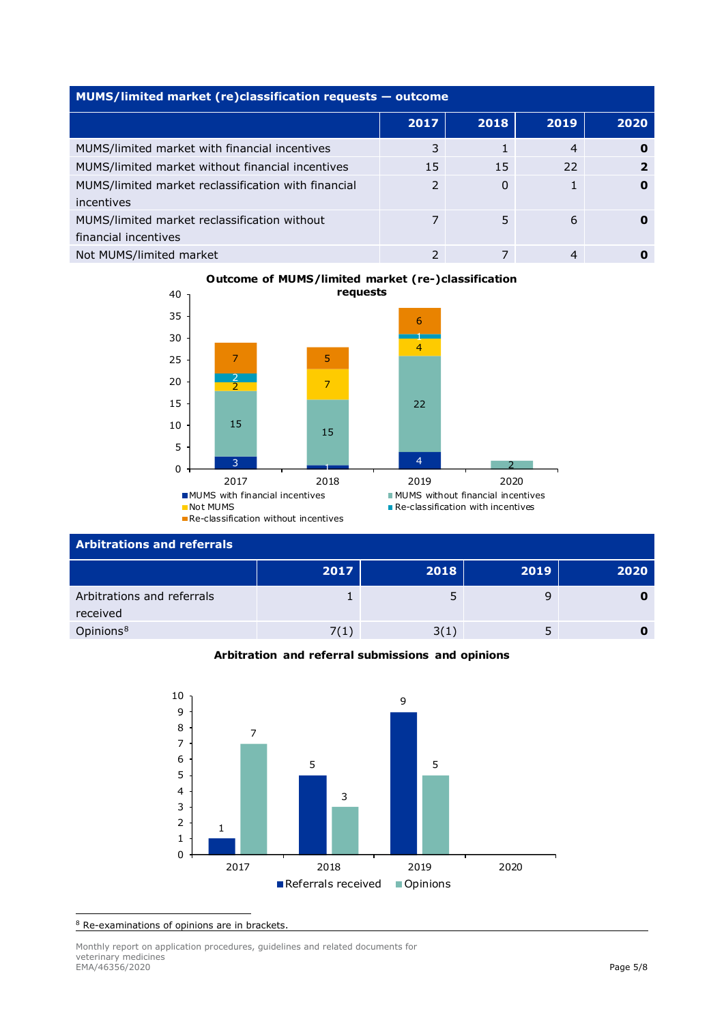| MUMS/limited market (re)classification requests - outcome            |               |      |      |      |  |
|----------------------------------------------------------------------|---------------|------|------|------|--|
|                                                                      | 2017          | 2018 | 2019 | 2020 |  |
| MUMS/limited market with financial incentives                        | 3             |      | 4    |      |  |
| MUMS/limited market without financial incentives                     | 15            | 15   | 22   | 2    |  |
| MUMS/limited market reclassification with financial<br>incentives    | $\mathcal{P}$ | 0    |      | 0    |  |
| MUMS/limited market reclassification without<br>financial incentives |               | 5    | 6    |      |  |
| Not MUMS/limited market                                              | 2             |      | 4    |      |  |

## **Outcome of MUMS/limited market (re-)classification requests**



### **Arbitrations and referrals**

|                                        | 2017 | 2018 | 2019 | 2020 |
|----------------------------------------|------|------|------|------|
| Arbitrations and referrals<br>received |      |      |      |      |
| Opinions <sup>8</sup>                  | 7(1) | 3(1) |      |      |

#### **Arbitration and referral submissions and opinions**



<span id="page-4-0"></span>Re-examinations of opinions are in brackets.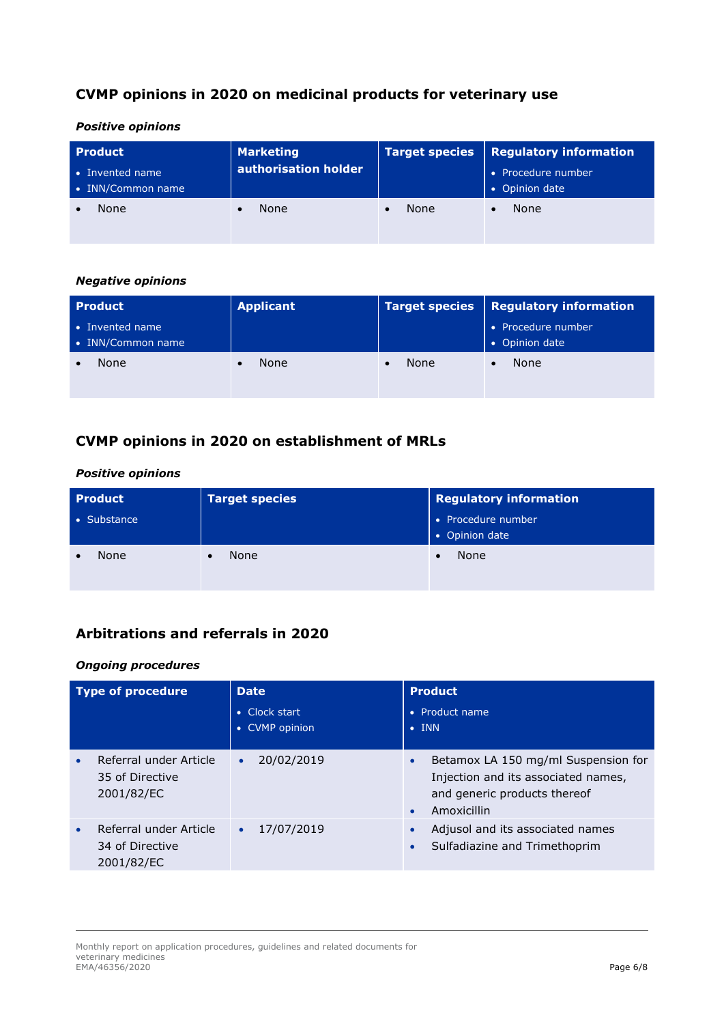# **CVMP opinions in 2020 on medicinal products for veterinary use**

#### *Positive opinions*

| <b>Product</b><br>$\bullet$ Invented name<br>• INN/Common name | <b>Marketing</b><br>authorisation holder | <b>Target species</b> | Regulatory information<br>• Procedure number<br>• Opinion date |
|----------------------------------------------------------------|------------------------------------------|-----------------------|----------------------------------------------------------------|
| None                                                           | None                                     | None                  | None                                                           |

#### *Negative opinions*

| <b>Product</b>                       | <b>Applicant</b> |      | Target species   Regulatory information |
|--------------------------------------|------------------|------|-----------------------------------------|
| • Invented name<br>• INN/Common name |                  |      | • Procedure number<br>• Opinion date    |
| None                                 | None             | None | None                                    |

# **CVMP opinions in 2020 on establishment of MRLs**

### *Positive opinions*

| <b>Product</b> | <b>Target species</b> | <b>Regulatory information</b>        |
|----------------|-----------------------|--------------------------------------|
| • Substance    |                       | • Procedure number<br>• Opinion date |
| None           | None                  | None                                 |

# **Arbitrations and referrals in 2020**

#### *Ongoing procedures*

| <b>Type of procedure</b>                                | Date<br>• Clock start<br>• CVMP opinion | <b>Product</b><br>Product name<br>$\bullet$<br>$\bullet$ INN                                                                                        |
|---------------------------------------------------------|-----------------------------------------|-----------------------------------------------------------------------------------------------------------------------------------------------------|
| Referral under Article<br>35 of Directive<br>2001/82/EC | 20/02/2019<br>$\bullet$                 | Betamox LA 150 mg/ml Suspension for<br>$\bullet$<br>Injection and its associated names,<br>and generic products thereof<br>Amoxicillin<br>$\bullet$ |
| Referral under Article<br>34 of Directive<br>2001/82/EC | 17/07/2019<br>$\bullet$                 | Adjusol and its associated names<br>$\bullet$<br>Sulfadiazine and Trimethoprim<br>$\bullet$                                                         |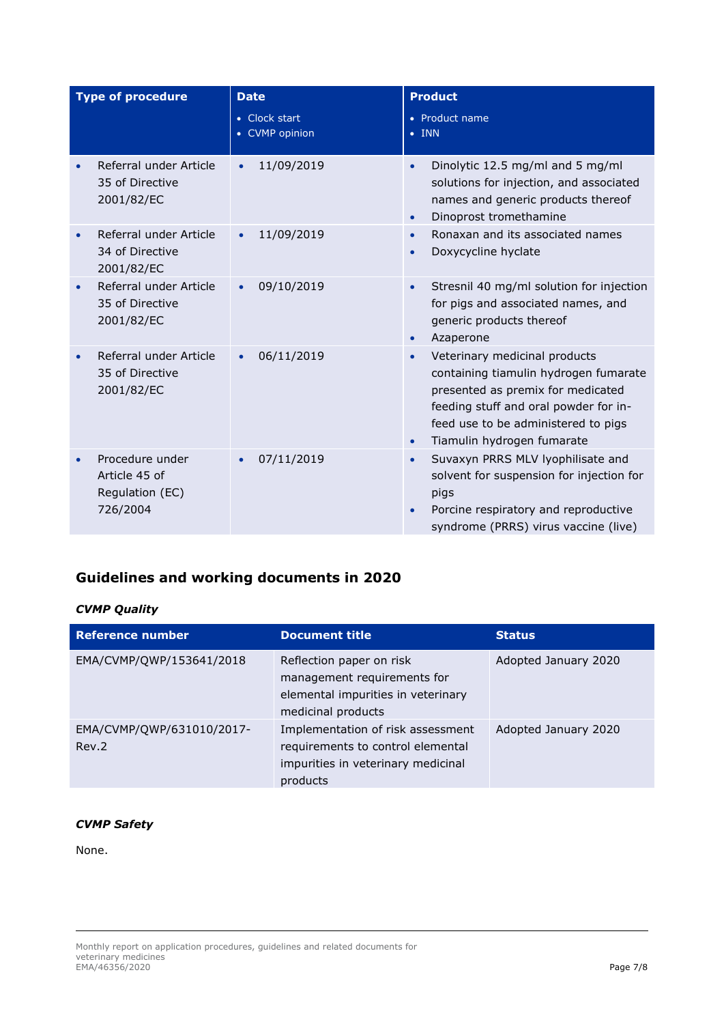| <b>Type of procedure</b> |                                                                 | <b>Date</b>                          | <b>Product</b>                                                                                                                                                                                                                         |  |
|--------------------------|-----------------------------------------------------------------|--------------------------------------|----------------------------------------------------------------------------------------------------------------------------------------------------------------------------------------------------------------------------------------|--|
|                          |                                                                 | • Clock start<br><b>CVMP</b> opinion | • Product name<br><b>INN</b><br>$\bullet$                                                                                                                                                                                              |  |
|                          | Referral under Article<br>35 of Directive<br>2001/82/EC         | 11/09/2019                           | Dinolytic 12.5 mg/ml and 5 mg/ml<br>$\bullet$<br>solutions for injection, and associated<br>names and generic products thereof<br>Dinoprost tromethamine<br>$\bullet$                                                                  |  |
|                          | Referral under Article<br>34 of Directive<br>2001/82/EC         | 11/09/2019                           | Ronaxan and its associated names<br>Doxycycline hyclate<br>$\bullet$                                                                                                                                                                   |  |
|                          | Referral under Article<br>35 of Directive<br>2001/82/EC         | 09/10/2019<br>$\bullet$              | Stresnil 40 mg/ml solution for injection<br>$\bullet$<br>for pigs and associated names, and<br>generic products thereof<br>Azaperone<br>$\bullet$                                                                                      |  |
|                          | Referral under Article<br>35 of Directive<br>2001/82/EC         | 06/11/2019                           | Veterinary medicinal products<br>containing tiamulin hydrogen fumarate<br>presented as premix for medicated<br>feeding stuff and oral powder for in-<br>feed use to be administered to pigs<br>Tiamulin hydrogen fumarate<br>$\bullet$ |  |
|                          | Procedure under<br>Article 45 of<br>Regulation (EC)<br>726/2004 | 07/11/2019                           | Suvaxyn PRRS MLV lyophilisate and<br>$\bullet$<br>solvent for suspension for injection for<br>pigs<br>Porcine respiratory and reproductive<br>syndrome (PRRS) virus vaccine (live)                                                     |  |

# **Guidelines and working documents in 2020**

### *CVMP Quality*

| <b>Reference number</b>            | <b>Document title</b>                                                                                                    | <b>Status</b>        |
|------------------------------------|--------------------------------------------------------------------------------------------------------------------------|----------------------|
| EMA/CVMP/QWP/153641/2018           | Reflection paper on risk<br>management requirements for<br>elemental impurities in veterinary<br>medicinal products      | Adopted January 2020 |
| EMA/CVMP/QWP/631010/2017-<br>Rev.2 | Implementation of risk assessment<br>requirements to control elemental<br>impurities in veterinary medicinal<br>products | Adopted January 2020 |

# *CVMP Safety*

None.